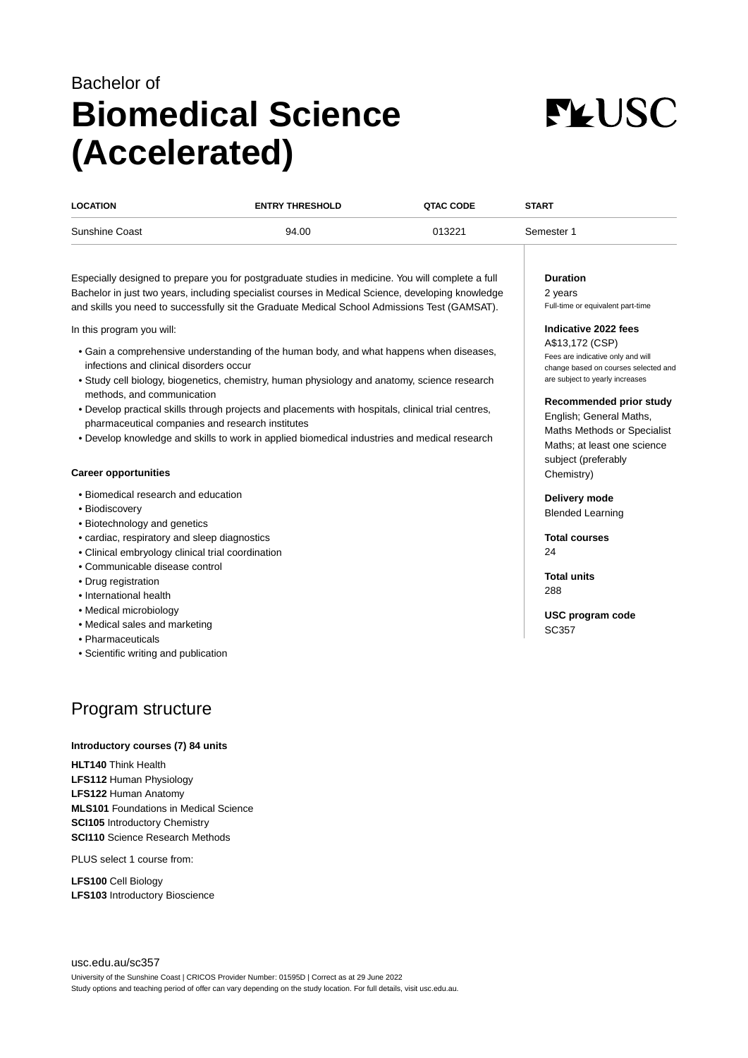# Bachelor of **Biomedical Science (Accelerated)**



| <b>LOCATION</b> | <b>ENTRY THRESHOLD</b> | <b>QTAC CODE</b> | <b>START</b> |
|-----------------|------------------------|------------------|--------------|
| Sunshine Coast  | 94.00                  | 013221           | Semester 1   |

Especially designed to prepare you for postgraduate studies in medicine. You will complete a full Bachelor in just two years, including specialist courses in Medical Science, developing knowledge and skills you need to successfully sit the Graduate Medical School Admissions Test (GAMSAT).

In this program you will:

- Gain a comprehensive understanding of the human body, and what happens when diseases, infections and clinical disorders occur
- Study cell biology, biogenetics, chemistry, human physiology and anatomy, science research methods, and communication
- Develop practical skills through projects and placements with hospitals, clinical trial centres, pharmaceutical companies and research institutes
- Develop knowledge and skills to work in applied biomedical industries and medical research

# **Career opportunities**

- Biomedical research and education
- Biodiscovery
- Biotechnology and genetics
- cardiac, respiratory and sleep diagnostics
- Clinical embryology clinical trial coordination
- Communicable disease control
- Drug registration
- International health
- Medical microbiology
- Medical sales and marketing
- Pharmaceuticals
- Scientific writing and publication

# Program structure

#### **Introductory courses (7) 84 units**

**HLT140** Think Health **LFS112** Human Physiology **LFS122** Human Anatomy **MLS101** Foundations in Medical Science **SCI105** Introductory Chemistry **SCI110** Science Research Methods

PLUS select 1 course from:

**LFS100** Cell Biology **LFS103** Introductory Bioscience

#### **Duration**

2 years Full-time or equivalent part-time

# **Indicative 2022 fees**

A\$13,172 (CSP) Fees are indicative only and will change based on courses selected and are subject to yearly increases

#### **Recommended prior study**

English; General Maths, Maths Methods or Specialist Maths; at least one science subject (preferably Chemistry)

**Delivery mode** Blended Learning

**Total courses**  $24$ 

**Total units** 288

**USC program code** SC357